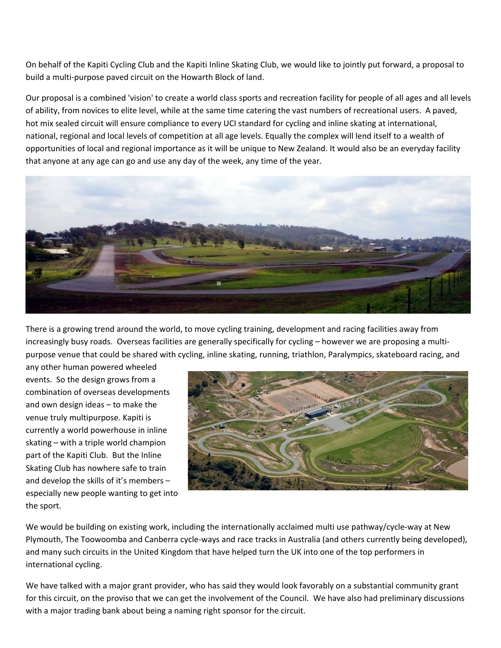On behalf of the Kapiti Cycling Club and the Kapiti Inline Skating Club, we would like to jointly put forward, a proposal to build a multi‐purpose paved circuit on the Howarth Block of land.

Our proposal is a combined 'vision' to create a world class sports and recreation facility for people of all ages and all levels of ability, from novices to elite level, while at the same time catering the vast numbers of recreational users. A paved, hot mix sealed circuit will ensure compliance to every UCI standard for cycling and inline skating at international, national, regional and local levels of competition at all age levels. Equally the complex will lend itself to a wealth of opportunities of local and regional importance as it will be unique to New Zealand. It would also be an everyday facility that anyone at any age can go and use any day of the week, any time of the year.



There is a growing trend around the world, to move cycling training, development and racing facilities away from increasingly busy roads. Overseas facilities are generally specifically for cycling – however we are proposing a multipurpose venue that could be shared with cycling, inline skating, running, triathlon, Paralympics, skateboard racing, and

any other human powered wheeled events. So the design grows from a combination of overseas developments and own design ideas – to make the venue truly multipurpose. Kapiti is currently a world powerhouse in inline skating – with a triple world champion part of the Kapiti Club. But the Inline Skating Club has nowhere safe to train and develop the skills of it's members – especially new people wanting to get into the sport.



We would be building on existing work, including the internationally acclaimed multi use pathway/cycle-way at New Plymouth, The Toowoomba and Canberra cycle‐ways and race tracks in Australia (and others currently being developed), and many such circuits in the United Kingdom that have helped turn the UK into one of the top performers in international cycling.

We have talked with a major grant provider, who has said they would look favorably on a substantial community grant for this circuit, on the proviso that we can get the involvement of the Council. We have also had preliminary discussions with a major trading bank about being a naming right sponsor for the circuit.